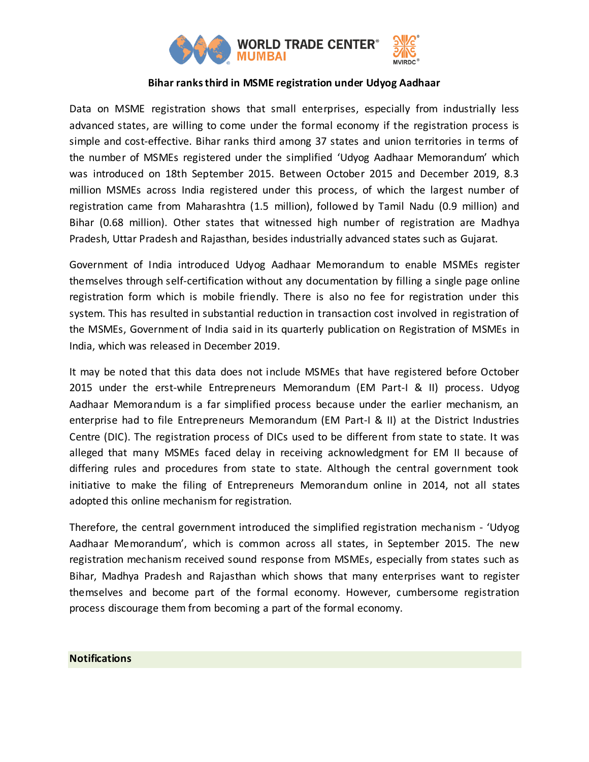

## **Bihar ranks third in MSME registration under Udyog Aadhaar**

Data on MSME registration shows that small enterprises, especially from industrially less advanced states, are willing to come under the formal economy if the registration process is simple and cost-effective. Bihar ranks third among 37 states and union territories in terms of the number of MSMEs registered under the simplified 'Udyog Aadhaar Memorandum' which was introduced on 18th September 2015. Between October 2015 and December 2019, 8.3 million MSMEs across India registered under this process, of which the largest number of registration came from Maharashtra (1.5 million), followed by Tamil Nadu (0.9 million) and Bihar (0.68 million). Other states that witnessed high number of registration are Madhya Pradesh, Uttar Pradesh and Rajasthan, besides industrially advanced states such as Gujarat.

Government of India introduced Udyog Aadhaar Memorandum to enable MSMEs register themselves through self-certification without any documentation by filling a single page online registration form which is mobile friendly. There is also no fee for registration under this system. This has resulted in substantial reduction in transaction cost involved in registration of the MSMEs, Government of India said in its quarterly publication on Registration of MSMEs in India, which was released in December 2019.

It may be noted that this data does not include MSMEs that have registered before October 2015 under the erst-while Entrepreneurs Memorandum (EM Part-I & II) process. Udyog Aadhaar Memorandum is a far simplified process because under the earlier mechanism, an enterprise had to file Entrepreneurs Memorandum (EM Part-I & II) at the District Industries Centre (DIC). The registration process of DICs used to be different from state to state. It was alleged that many MSMEs faced delay in receiving acknowledgment for EM II because of differing rules and procedures from state to state. Although the central government took initiative to make the filing of Entrepreneurs Memorandum online in 2014, not all states adopted this online mechanism for registration.

Therefore, the central government introduced the simplified registration mechanism - 'Udyog Aadhaar Memorandum', which is common across all states, in September 2015. The new registration mechanism received sound response from MSMEs, especially from states such as Bihar, Madhya Pradesh and Rajasthan which shows that many enterprises want to register themselves and become part of the formal economy. However, cumbersome registration process discourage them from becoming a part of the formal economy.

## **Notifications**